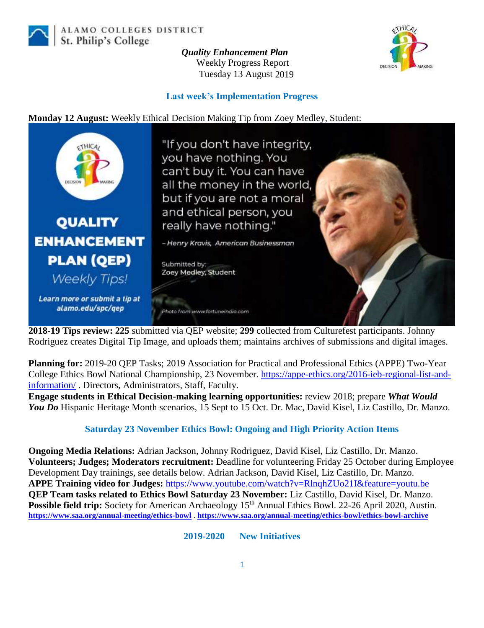

ALAMO COLLEGES DISTRICT St. Philip's College

*Quality Enhancement Plan*



## **Last week's Implementation Progress**

Weekly Progress Report Tuesday 13 August 2019

**Monday 12 August:** Weekly Ethical Decision Making Tip from Zoey Medley, Student:



**2018-19 Tips review: 225** submitted via QEP website; **299** collected from Culturefest participants. Johnny Rodriguez creates Digital Tip Image, and uploads them; maintains archives of submissions and digital images.

**Planning for:** 2019-20 QEP Tasks; 2019 Association for Practical and Professional Ethics (APPE) Two-Year College Ethics Bowl National Championship, 23 November. [https://appe-ethics.org/2016-ieb-regional-list-and](https://appe-ethics.org/2016-ieb-regional-list-and-information/)[information/](https://appe-ethics.org/2016-ieb-regional-list-and-information/) . Directors, Administrators, Staff, Faculty.

**Engage students in Ethical Decision-making learning opportunities:** review 2018; prepare *What Would You Do* Hispanic Heritage Month scenarios, 15 Sept to 15 Oct. Dr. Mac, David Kisel, Liz Castillo, Dr. Manzo.

### **Saturday 23 November Ethics Bowl: Ongoing and High Priority Action Items**

**Ongoing Media Relations:** Adrian Jackson, Johnny Rodriguez, David Kisel, Liz Castillo, Dr. Manzo. **Volunteers; Judges; Moderators recruitment:** Deadline for volunteering Friday 25 October during Employee Development Day trainings, see details below. Adrian Jackson, David Kisel, Liz Castillo, Dr. Manzo. **APPE Training video for Judges:** <https://www.youtube.com/watch?v=RlnqhZUo21I&feature=youtu.be> **QEP Team tasks related to Ethics Bowl Saturday 23 November:** Liz Castillo, David Kisel, Dr. Manzo. **Possible field trip:** Society for American Archaeology 15<sup>th</sup> Annual Ethics Bowl. 22-26 April 2020, Austin. **<https://www.saa.org/annual-meeting/ethics-bowl>** . **<https://www.saa.org/annual-meeting/ethics-bowl/ethics-bowl-archive>**

**2019-2020 New Initiatives**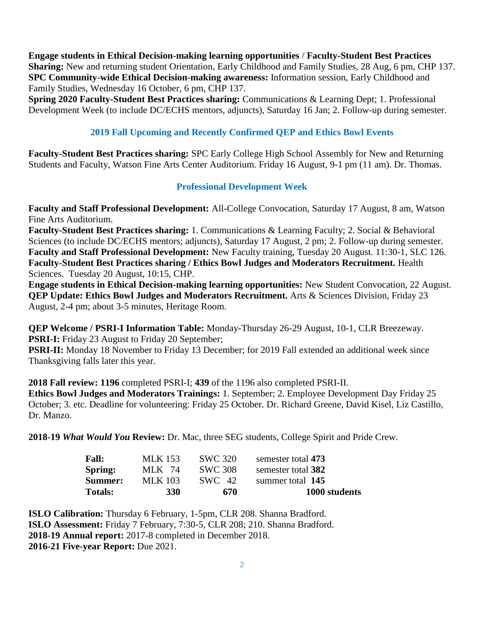**Engage students in Ethical Decision-making learning opportunities** / **Faculty-Student Best Practices Sharing:** New and returning student Orientation, Early Childhood and Family Studies, 28 Aug, 6 pm, CHP 137. **SPC Community-wide Ethical Decision-making awareness:** Information session, Early Childhood and Family Studies, Wednesday 16 October, 6 pm, CHP 137.

**Spring 2020 Faculty-Student Best Practices sharing:** Communications & Learning Dept; 1. Professional Development Week (to include DC/ECHS mentors, adjuncts), Saturday 16 Jan; 2. Follow-up during semester.

## **2019 Fall Upcoming and Recently Confirmed QEP and Ethics Bowl Events**

**Faculty-Student Best Practices sharing:** SPC Early College High School Assembly for New and Returning Students and Faculty, Watson Fine Arts Center Auditorium. Friday 16 August, 9-1 pm (11 am). Dr. Thomas.

### **Professional Development Week**

**Faculty and Staff Professional Development:** All-College Convocation, Saturday 17 August, 8 am, Watson Fine Arts Auditorium.

**Faculty-Student Best Practices sharing:** 1. Communications & Learning Faculty; 2. Social & Behavioral Sciences (to include DC/ECHS mentors; adjuncts), Saturday 17 August, 2 pm; 2. Follow-up during semester. **Faculty and Staff Professional Development:** New Faculty training, Tuesday 20 August. 11:30-1, SLC 126. **Faculty-Student Best Practices sharing / Ethics Bowl Judges and Moderators Recruitment.** Health Sciences. Tuesday 20 August, 10:15, CHP.

**Engage students in Ethical Decision-making learning opportunities:** New Student Convocation, 22 August. **QEP Update: Ethics Bowl Judges and Moderators Recruitment.** Arts & Sciences Division, Friday 23 August, 2-4 pm; about 3-5 minutes, Heritage Room.

**QEP Welcome / PSRI-I Information Table:** Monday-Thursday 26-29 August, 10-1, CLR Breezeway. **PSRI-I:** Friday 23 August to Friday 20 September;

**PSRI-II:** Monday 18 November to Friday 13 December; for 2019 Fall extended an additional week since Thanksgiving falls later this year.

**2018 Fall review: 1196** completed PSRI-I; **439** of the 1196 also completed PSRI-II. **Ethics Bowl Judges and Moderators Trainings:** 1. September; 2. Employee Development Day Friday 25 October; 3. etc. Deadline for volunteering: Friday 25 October. Dr. Richard Greene, David Kisel, Liz Castillo, Dr. Manzo.

**2018-19** *What Would You* **Review:** Dr. Mac, three SEG students, College Spirit and Pride Crew.

| <b>Fall:</b>   | MLK 153    | SWC 320        | semester total 473 |
|----------------|------------|----------------|--------------------|
| <b>Spring:</b> | MLK 74     | <b>SWC 308</b> | semester total 382 |
| Summer:        | MLK 103    | SWC 42         | summer total 145   |
| <b>Totals:</b> | <b>330</b> | 670            | 1000 students      |

**ISLO Calibration:** Thursday 6 February, 1-5pm, CLR 208. Shanna Bradford. **ISLO Assessment:** Friday 7 February, 7:30-5, CLR 208; 210. Shanna Bradford. **2018-19 Annual report:** 2017-8 completed in December 2018. **2016-21 Five-year Report:** Due 2021.

2